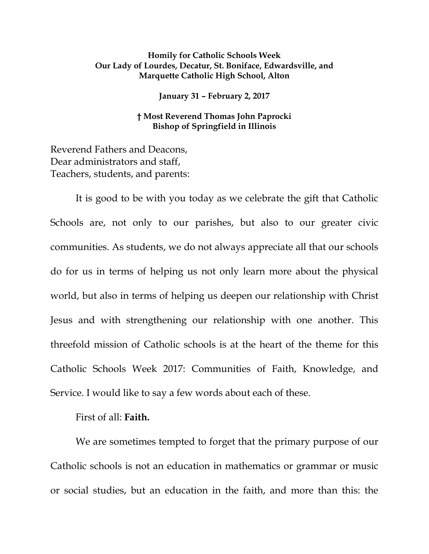## **Homily for Catholic Schools Week Our Lady of Lourdes, Decatur, St. Boniface, Edwardsville, and Marquette Catholic High School, Alton**

**January 31 – February 2, 2017**

## **† Most Reverend Thomas John Paprocki Bishop of Springfield in Illinois**

Reverend Fathers and Deacons, Dear administrators and staff, Teachers, students, and parents:

It is good to be with you today as we celebrate the gift that Catholic Schools are, not only to our parishes, but also to our greater civic communities. As students, we do not always appreciate all that our schools do for us in terms of helping us not only learn more about the physical world, but also in terms of helping us deepen our relationship with Christ Jesus and with strengthening our relationship with one another. This threefold mission of Catholic schools is at the heart of the theme for this Catholic Schools Week 2017: Communities of Faith, Knowledge, and Service. I would like to say a few words about each of these.

## First of all: **Faith.**

We are sometimes tempted to forget that the primary purpose of our Catholic schools is not an education in mathematics or grammar or music or social studies, but an education in the faith, and more than this: the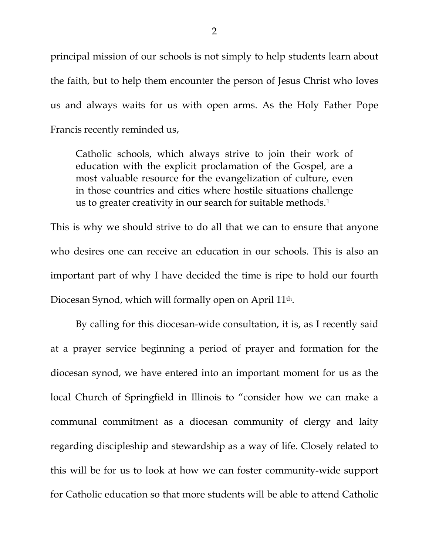principal mission of our schools is not simply to help students learn about the faith, but to help them encounter the person of Jesus Christ who loves us and always waits for us with open arms. As the Holy Father Pope Francis recently reminded us,

Catholic schools, which always strive to join their work of education with the explicit proclamation of the Gospel, are a most valuable resource for the evangelization of culture, even in those countries and cities where hostile situations challenge us to greater creativity in our search for suitable methods.<sup>[1](#page-5-0)</sup>

This is why we should strive to do all that we can to ensure that anyone who desires one can receive an education in our schools. This is also an important part of why I have decided the time is ripe to hold our fourth Diocesan Synod, which will formally open on April 11th.

By calling for this diocesan-wide consultation, it is, as I recently said at a prayer service beginning a period of prayer and formation for the diocesan synod, we have entered into an important moment for us as the local Church of Springfield in Illinois to "consider how we can make a communal commitment as a diocesan community of clergy and laity regarding discipleship and stewardship as a way of life. Closely related to this will be for us to look at how we can foster community-wide support for Catholic education so that more students will be able to attend Catholic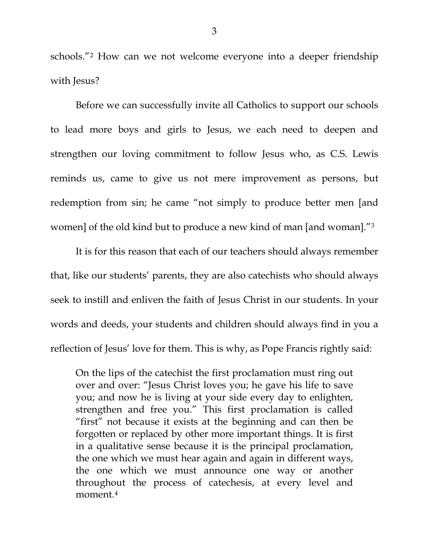schools."[2](#page-5-1) How can we not welcome everyone into a deeper friendship with Jesus?

Before we can successfully invite all Catholics to support our schools to lead more boys and girls to Jesus, we each need to deepen and strengthen our loving commitment to follow Jesus who, as C.S. Lewis reminds us, came to give us not mere improvement as persons, but redemption from sin; he came "not simply to produce better men [and women] of the old kind but to produce a new kind of man [and woman]."[3](#page-5-2)

It is for this reason that each of our teachers should always remember that, like our students' parents, they are also catechists who should always seek to instill and enliven the faith of Jesus Christ in our students. In your words and deeds, your students and children should always find in you a reflection of Jesus' love for them. This is why, as Pope Francis rightly said:

On the lips of the catechist the first proclamation must ring out over and over: "Jesus Christ loves you; he gave his life to save you; and now he is living at your side every day to enlighten, strengthen and free you." This first proclamation is called "first" not because it exists at the beginning and can then be forgotten or replaced by other more important things. It is first in a qualitative sense because it is the principal proclamation, the one which we must hear again and again in different ways, the one which we must announce one way or another throughout the process of catechesis, at every level and moment.[4](#page-5-3)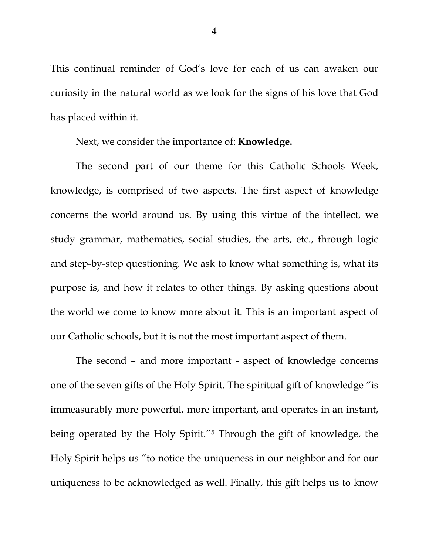This continual reminder of God's love for each of us can awaken our curiosity in the natural world as we look for the signs of his love that God has placed within it.

Next, we consider the importance of: **Knowledge.**

The second part of our theme for this Catholic Schools Week, knowledge, is comprised of two aspects. The first aspect of knowledge concerns the world around us. By using this virtue of the intellect, we study grammar, mathematics, social studies, the arts, etc., through logic and step-by-step questioning. We ask to know what something is, what its purpose is, and how it relates to other things. By asking questions about the world we come to know more about it. This is an important aspect of our Catholic schools, but it is not the most important aspect of them.

The second – and more important - aspect of knowledge concerns one of the seven gifts of the Holy Spirit. The spiritual gift of knowledge "is immeasurably more powerful, more important, and operates in an instant, being operated by the Holy Spirit."[5](#page-5-4) Through the gift of knowledge, the Holy Spirit helps us "to notice the uniqueness in our neighbor and for our uniqueness to be acknowledged as well. Finally, this gift helps us to know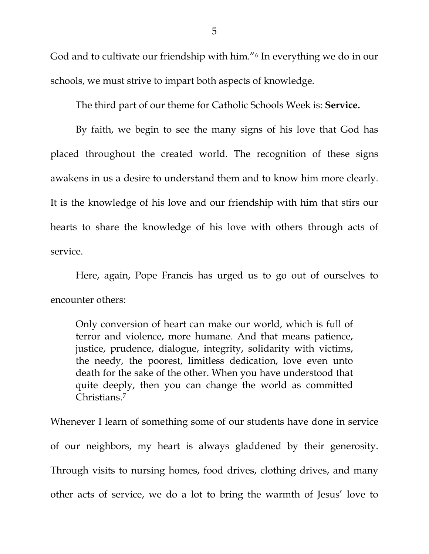God and to cultivate our friendship with him."[6](#page-5-5) In everything we do in our schools, we must strive to impart both aspects of knowledge.

The third part of our theme for Catholic Schools Week is: **Service.**

By faith, we begin to see the many signs of his love that God has placed throughout the created world. The recognition of these signs awakens in us a desire to understand them and to know him more clearly. It is the knowledge of his love and our friendship with him that stirs our hearts to share the knowledge of his love with others through acts of service.

Here, again, Pope Francis has urged us to go out of ourselves to encounter others:

Only conversion of heart can make our world, which is full of terror and violence, more humane. And that means patience, justice, prudence, dialogue, integrity, solidarity with victims, the needy, the poorest, limitless dedication, love even unto death for the sake of the other. When you have understood that quite deeply, then you can change the world as committed Christians.[7](#page-5-6)

Whenever I learn of something some of our students have done in service of our neighbors, my heart is always gladdened by their generosity. Through visits to nursing homes, food drives, clothing drives, and many other acts of service, we do a lot to bring the warmth of Jesus' love to